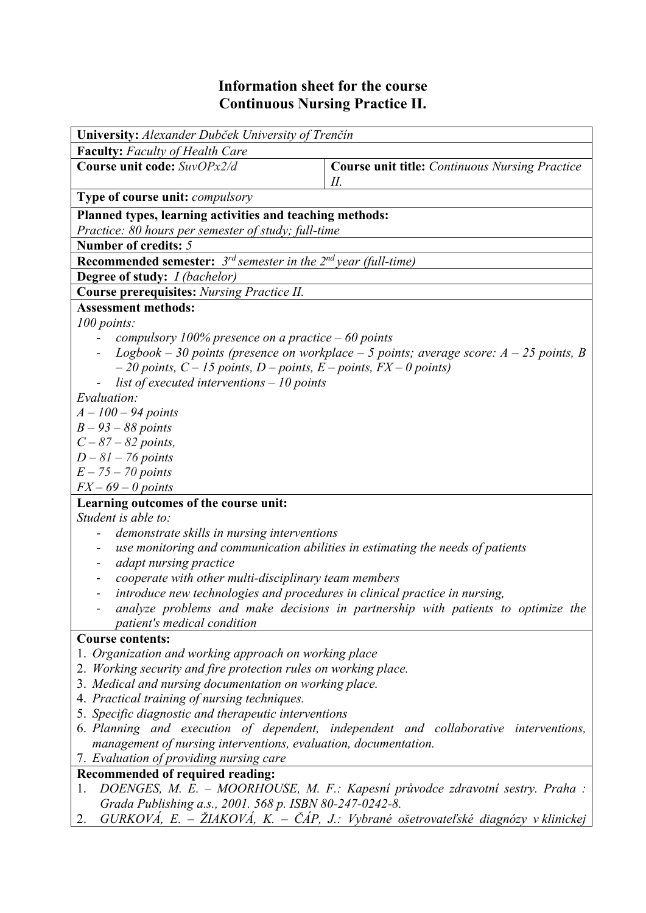## **Information sheet for the course Continuous Nursing Practice II.**

| University: Alexander Dubček University of Trenčín                                                                                 |                                                                                     |  |  |  |  |  |
|------------------------------------------------------------------------------------------------------------------------------------|-------------------------------------------------------------------------------------|--|--|--|--|--|
| <b>Faculty:</b> Faculty of Health Care                                                                                             |                                                                                     |  |  |  |  |  |
| Course unit code: SuvOPx2/d                                                                                                        | <b>Course unit title:</b> Continuous Nursing Practice<br>П.                         |  |  |  |  |  |
| <b>Type of course unit: compulsory</b>                                                                                             |                                                                                     |  |  |  |  |  |
| Planned types, learning activities and teaching methods:                                                                           |                                                                                     |  |  |  |  |  |
| Practice: 80 hours per semester of study; full-time                                                                                |                                                                                     |  |  |  |  |  |
| Number of credits: 5                                                                                                               |                                                                                     |  |  |  |  |  |
| <b>Recommended semester:</b> $3^{rd}$ semester in the $2^{nd}$ year (full-time)                                                    |                                                                                     |  |  |  |  |  |
| <b>Degree of study:</b> <i>I (bachelor)</i>                                                                                        |                                                                                     |  |  |  |  |  |
| <b>Course prerequisites:</b> Nursing Practice II.                                                                                  |                                                                                     |  |  |  |  |  |
| <b>Assessment methods:</b>                                                                                                         |                                                                                     |  |  |  |  |  |
| 100 points:                                                                                                                        |                                                                                     |  |  |  |  |  |
| compulsory 100% presence on a practice $-60$ points                                                                                |                                                                                     |  |  |  |  |  |
| Logbook – 30 points (presence on workplace – 5 points; average score: $A - 25$ points, B                                           |                                                                                     |  |  |  |  |  |
| $-20$ points, $C - 15$ points, $D$ – points, $E$ – points, $FX - 0$ points)                                                        |                                                                                     |  |  |  |  |  |
| list of executed interventions $-10$ points                                                                                        |                                                                                     |  |  |  |  |  |
| Evaluation:                                                                                                                        |                                                                                     |  |  |  |  |  |
| $A - 100 - 94$ points                                                                                                              |                                                                                     |  |  |  |  |  |
| $B - 93 - 88$ points                                                                                                               |                                                                                     |  |  |  |  |  |
| $C - 87 - 82$ points,                                                                                                              |                                                                                     |  |  |  |  |  |
| $D-81-76$ points                                                                                                                   |                                                                                     |  |  |  |  |  |
| $E - 75 - 70$ points                                                                                                               |                                                                                     |  |  |  |  |  |
| $FX - 69 - 0$ points                                                                                                               |                                                                                     |  |  |  |  |  |
| Learning outcomes of the course unit:<br>Student is able to:                                                                       |                                                                                     |  |  |  |  |  |
|                                                                                                                                    |                                                                                     |  |  |  |  |  |
| demonstrate skills in nursing interventions<br>use monitoring and communication abilities in estimating the needs of patients      |                                                                                     |  |  |  |  |  |
| adapt nursing practice                                                                                                             |                                                                                     |  |  |  |  |  |
|                                                                                                                                    |                                                                                     |  |  |  |  |  |
| cooperate with other multi-disciplinary team members<br>introduce new technologies and procedures in clinical practice in nursing, |                                                                                     |  |  |  |  |  |
|                                                                                                                                    | analyze problems and make decisions in partnership with patients to optimize the    |  |  |  |  |  |
| patient's medical condition                                                                                                        |                                                                                     |  |  |  |  |  |
| <b>Course contents:</b>                                                                                                            |                                                                                     |  |  |  |  |  |
| 1. Organization and working approach on working place                                                                              |                                                                                     |  |  |  |  |  |
| 2. Working security and fire protection rules on working place.                                                                    |                                                                                     |  |  |  |  |  |
| 3. Medical and nursing documentation on working place.                                                                             |                                                                                     |  |  |  |  |  |
| 4. Practical training of nursing techniques.                                                                                       |                                                                                     |  |  |  |  |  |
| 5. Specific diagnostic and therapeutic interventions                                                                               |                                                                                     |  |  |  |  |  |
| 6. Planning and execution of dependent, independent and collaborative interventions,                                               |                                                                                     |  |  |  |  |  |
| management of nursing interventions, evaluation, documentation.                                                                    |                                                                                     |  |  |  |  |  |
| 7. Evaluation of providing nursing care                                                                                            |                                                                                     |  |  |  |  |  |
| <b>Recommended of required reading:</b>                                                                                            |                                                                                     |  |  |  |  |  |
| DOENGES, M. E. - MOORHOUSE, M. F.: Kapesní průvodce zdravotní sestry. Praha :<br>1.                                                |                                                                                     |  |  |  |  |  |
| Grada Publishing a.s., 2001. 568 p. ISBN 80-247-0242-8.                                                                            |                                                                                     |  |  |  |  |  |
| 2.                                                                                                                                 | $GURKOVA$ , E. – ŽIAKOVÁ, K. – ČÁP, J.: Vybrané ošetrovateľské diagnózy v klinickej |  |  |  |  |  |